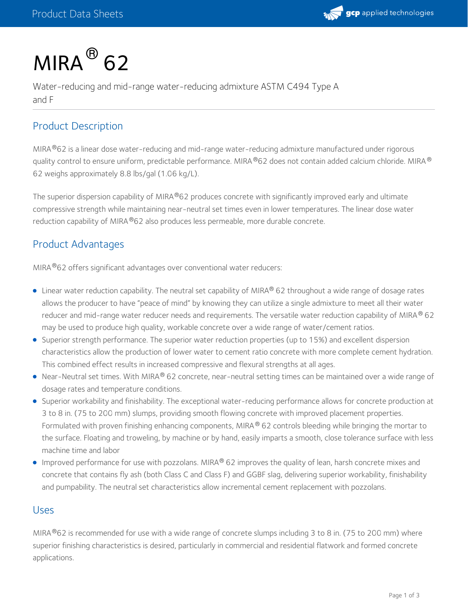

# $MIRA<sup>®</sup>$  62

Water-reducing and mid-range water-reducing admixture ASTM C494 Type A and F

# Product Description

MIRA®62 is a linear dose water-reducing and mid-range water-reducing admixture manufactured under rigorous quality control to ensure uniform, predictable performance. MIRA®62 does not contain added calcium chloride. MIRA® 62 weighs approximately 8.8 lbs/gal (1.06 kg/L).

The superior dispersion capability of MIRA®62 produces concrete with significantly improved early and ultimate compressive strength while maintaining near-neutral set times even in lower temperatures. The linear dose water reduction capability of MIRA®62 also produces less permeable, more durable concrete.

# Product Advantages

MIRA®62 offers significant advantages over conventional water reducers:

- Linear water reduction capability. The neutral set capability of MIRA® 62 throughout a wide range of dosage rates allows the producer to have "peace of mind" by knowing they can utilize a single admixture to meet all their water reducer and mid-range water reducer needs and requirements. The versatile water reduction capability of MIRA $^\circledR$  62 may be used to produce high quality, workable concrete over a wide range of water/cement ratios.
- Superior strength performance. The superior water reduction properties (up to 15%) and excellent dispersion characteristics allow the production of lower water to cement ratio concrete with more complete cement hydration. This combined effect results in increased compressive and flexural strengths at all ages.
- Near-Neutral set times. With MIRA® 62 concrete, near-neutral setting times can be maintained over a wide range of dosage rates and temperature conditions.
- Superior workability and finishability. The exceptional water-reducing performance allows for concrete production at 3 to 8 in. (75 to 200 mm) slumps, providing smooth flowing concrete with improved placement properties. Formulated with proven finishing enhancing components, MIRA® 62 controls bleeding while bringing the mortar to the surface. Floating and troweling, by machine or by hand, easily imparts a smooth, close tolerance surface with less machine time and labor
- Improved performance for use with pozzolans. MIRA® 62 improves the quality of lean, harsh concrete mixes and concrete that contains fly ash (both Class C and Class F) and GGBF slag, delivering superior workability, finishability and pumpability. The neutral set characteristics allow incremental cement replacement with pozzolans.

#### Uses

MIRA $^{\circledR}$ 62 is recommended for use with a wide range of concrete slumps including 3 to 8 in. (75 to 200 mm) where superior finishing characteristics is desired, particularly in commercial and residential flatwork and formed concrete applications.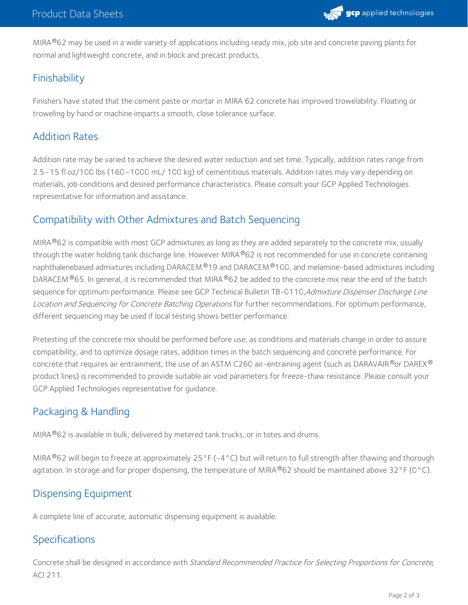

MIRA®62 may be used in a wide variety of applications including ready mix, job site and concrete paving plants for normal and lightweight concrete, and in block and precast products.

# Finishability

Finishers have stated that the cement paste or mortar in MIRA 62 concrete has improved trowelability. Floating or troweling by hand or machine imparts a smooth, close tolerance surface.

# Addition Rates

Addition rate may be varied to achieve the desired water reduction and set time. Typically, addition rates range from 2.5–15 fl oz/100 lbs (160–1000 mL/ 100 kg) of cementitious materials. Addition rates may vary depending on materials, job conditions and desired performance characteristics. Please consult your GCP Applied Technologies representative for information and assistance.

## Compatibility with Other Admixtures and Batch Sequencing

MIRA $^{\circledR}$ 62 is compatible with most GCP admixtures as long as they are added separately to the concrete mix, usually through the water holding tank discharge line. However MIRA®62 is not recommended for use in concrete containing naphthalenebased admixtures including DARACEM®19 and DARACEM®100, and melamine-based admixtures including DARACEM  $^{\circ}$ 65. In general, it is recommended that MIRA  $^{\circ}$ 62 be added to the concrete mix near the end of the batch sequence for optimum performance. Please see GCP Technical Bulletin TB-0110, Admixture Dispenser Discharge Line Location and Sequencing for Concrete Batching Operations for further recommendations. For optimum performance, different sequencing may be used if local testing shows better performance.

Pretesting of the concrete mix should be performed before use, as conditions and materials change in order to assure compatibility, and to optimize dosage rates, addition times in the batch sequencing and concrete performance. For concrete that requires air entrainment, the use of an ASTM C260 air-entraining agent (such as DARAVAIR®or DAREX® product lines) is recommended to provide suitable air void parameters for freeze-thaw resistance. Please consult your GCP Applied Technologies representative for guidance.

# Packaging & Handling

MIRA $^{\circledR}$ 62 is available in bulk, delivered by metered tank trucks, or in totes and drums.

MIRA®62 will begin to freeze at approximately 25°F (-4°C) but will return to full strength after thawing and thorough agitation. In storage and for proper dispensing, the temperature of MIRA  $^{\circ}$ 62 should be maintained above 32°F (0°C).

# Dispensing Equipment

A complete line of accurate, automatic dispensing equipment is available.

# Specifications

Concrete shall be designed in accordance with Standard Recommended Practice for Selecting Proportions for Concrete, ACI 211.